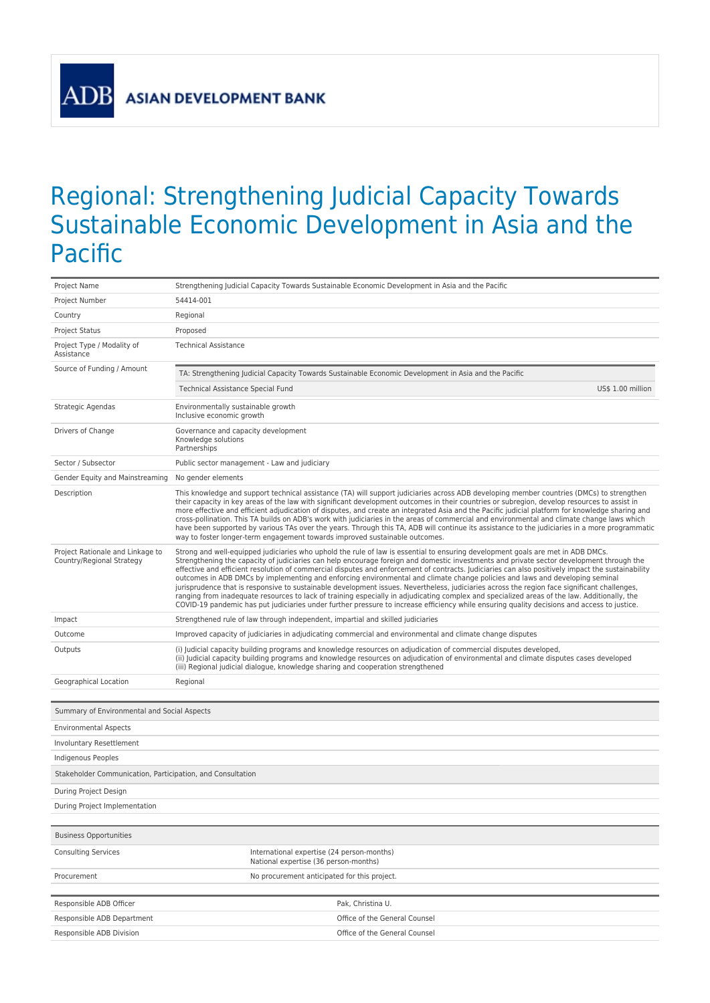**AD** 

## Regional: Strengthening Judicial Capacity Towards Sustainable Economic Development in Asia and the Pacific

| Project Name                                                  | Strengthening Judicial Capacity Towards Sustainable Economic Development in Asia and the Pacific                                                                                                                                                                                                                                                                                                                                                                                                                                                                                                                                                                                                                                                                                                                                                                                                                                                                                                                |
|---------------------------------------------------------------|-----------------------------------------------------------------------------------------------------------------------------------------------------------------------------------------------------------------------------------------------------------------------------------------------------------------------------------------------------------------------------------------------------------------------------------------------------------------------------------------------------------------------------------------------------------------------------------------------------------------------------------------------------------------------------------------------------------------------------------------------------------------------------------------------------------------------------------------------------------------------------------------------------------------------------------------------------------------------------------------------------------------|
| Project Number                                                | 54414-001                                                                                                                                                                                                                                                                                                                                                                                                                                                                                                                                                                                                                                                                                                                                                                                                                                                                                                                                                                                                       |
| Country                                                       | Regional                                                                                                                                                                                                                                                                                                                                                                                                                                                                                                                                                                                                                                                                                                                                                                                                                                                                                                                                                                                                        |
| <b>Project Status</b>                                         | Proposed                                                                                                                                                                                                                                                                                                                                                                                                                                                                                                                                                                                                                                                                                                                                                                                                                                                                                                                                                                                                        |
| Project Type / Modality of<br>Assistance                      | <b>Technical Assistance</b>                                                                                                                                                                                                                                                                                                                                                                                                                                                                                                                                                                                                                                                                                                                                                                                                                                                                                                                                                                                     |
| Source of Funding / Amount                                    | TA: Strengthening Judicial Capacity Towards Sustainable Economic Development in Asia and the Pacific                                                                                                                                                                                                                                                                                                                                                                                                                                                                                                                                                                                                                                                                                                                                                                                                                                                                                                            |
|                                                               | Technical Assistance Special Fund<br>US\$ 1.00 million                                                                                                                                                                                                                                                                                                                                                                                                                                                                                                                                                                                                                                                                                                                                                                                                                                                                                                                                                          |
| Strategic Agendas                                             | Environmentally sustainable growth<br>Inclusive economic growth                                                                                                                                                                                                                                                                                                                                                                                                                                                                                                                                                                                                                                                                                                                                                                                                                                                                                                                                                 |
| Drivers of Change                                             | Governance and capacity development<br>Knowledge solutions<br>Partnerships                                                                                                                                                                                                                                                                                                                                                                                                                                                                                                                                                                                                                                                                                                                                                                                                                                                                                                                                      |
| Sector / Subsector                                            | Public sector management - Law and judiciary                                                                                                                                                                                                                                                                                                                                                                                                                                                                                                                                                                                                                                                                                                                                                                                                                                                                                                                                                                    |
| Gender Equity and Mainstreaming                               | No gender elements                                                                                                                                                                                                                                                                                                                                                                                                                                                                                                                                                                                                                                                                                                                                                                                                                                                                                                                                                                                              |
| Description                                                   | This knowledge and support technical assistance (TA) will support judiciaries across ADB developing member countries (DMCs) to strengthen<br>their capacity in key areas of the law with significant development outcomes in their countries or subregion, develop resources to assist in<br>more effective and efficient adjudication of disputes, and create an integrated Asia and the Pacific judicial platform for knowledge sharing and<br>cross-pollination. This TA builds on ADB's work with judiciaries in the areas of commercial and environmental and climate change laws which<br>have been supported by various TAs over the years. Through this TA, ADB will continue its assistance to the judiciaries in a more programmatic<br>way to foster longer-term engagement towards improved sustainable outcomes.                                                                                                                                                                                   |
| Project Rationale and Linkage to<br>Country/Regional Strategy | Strong and well-equipped judiciaries who uphold the rule of law is essential to ensuring development goals are met in ADB DMCs.<br>Strengthening the capacity of judiciaries can help encourage foreign and domestic investments and private sector development through the<br>effective and efficient resolution of commercial disputes and enforcement of contracts. Judiciaries can also positively impact the sustainability<br>outcomes in ADB DMCs by implementing and enforcing environmental and climate change policies and laws and developing seminal<br>jurisprudence that is responsive to sustainable development issues. Nevertheless, judiciaries across the region face significant challenges,<br>ranging from inadequate resources to lack of training especially in adjudicating complex and specialized areas of the law. Additionally, the<br>COVID-19 pandemic has put judiciaries under further pressure to increase efficiency while ensuring quality decisions and access to justice. |
| Impact                                                        | Strengthened rule of law through independent, impartial and skilled judiciaries                                                                                                                                                                                                                                                                                                                                                                                                                                                                                                                                                                                                                                                                                                                                                                                                                                                                                                                                 |
| Outcome                                                       | Improved capacity of judiciaries in adjudicating commercial and environmental and climate change disputes                                                                                                                                                                                                                                                                                                                                                                                                                                                                                                                                                                                                                                                                                                                                                                                                                                                                                                       |
| Outputs                                                       | (i) Judicial capacity building programs and knowledge resources on adjudication of commercial disputes developed,<br>(ii) Judicial capacity building programs and knowledge resources on adjudication of environmental and climate disputes cases developed<br>(iii) Regional judicial dialogue, knowledge sharing and cooperation strengthened                                                                                                                                                                                                                                                                                                                                                                                                                                                                                                                                                                                                                                                                 |
| Geographical Location                                         | Regional                                                                                                                                                                                                                                                                                                                                                                                                                                                                                                                                                                                                                                                                                                                                                                                                                                                                                                                                                                                                        |
|                                                               |                                                                                                                                                                                                                                                                                                                                                                                                                                                                                                                                                                                                                                                                                                                                                                                                                                                                                                                                                                                                                 |
| Summary of Environmental and Social Aspects                   |                                                                                                                                                                                                                                                                                                                                                                                                                                                                                                                                                                                                                                                                                                                                                                                                                                                                                                                                                                                                                 |
| <b>Environmental Aspects</b>                                  |                                                                                                                                                                                                                                                                                                                                                                                                                                                                                                                                                                                                                                                                                                                                                                                                                                                                                                                                                                                                                 |
| Involuntary Resettlement                                      |                                                                                                                                                                                                                                                                                                                                                                                                                                                                                                                                                                                                                                                                                                                                                                                                                                                                                                                                                                                                                 |
| Indigenous Peoples                                            |                                                                                                                                                                                                                                                                                                                                                                                                                                                                                                                                                                                                                                                                                                                                                                                                                                                                                                                                                                                                                 |
| Stakeholder Communication, Participation, and Consultation    |                                                                                                                                                                                                                                                                                                                                                                                                                                                                                                                                                                                                                                                                                                                                                                                                                                                                                                                                                                                                                 |
| During Project Design                                         |                                                                                                                                                                                                                                                                                                                                                                                                                                                                                                                                                                                                                                                                                                                                                                                                                                                                                                                                                                                                                 |
| During Project Implementation                                 |                                                                                                                                                                                                                                                                                                                                                                                                                                                                                                                                                                                                                                                                                                                                                                                                                                                                                                                                                                                                                 |
|                                                               |                                                                                                                                                                                                                                                                                                                                                                                                                                                                                                                                                                                                                                                                                                                                                                                                                                                                                                                                                                                                                 |
| <b>Business Opportunities</b>                                 |                                                                                                                                                                                                                                                                                                                                                                                                                                                                                                                                                                                                                                                                                                                                                                                                                                                                                                                                                                                                                 |
| <b>Consulting Services</b>                                    | International expertise (24 person-months)<br>National expertise (36 person-months)                                                                                                                                                                                                                                                                                                                                                                                                                                                                                                                                                                                                                                                                                                                                                                                                                                                                                                                             |
| Procurement                                                   | No procurement anticipated for this project.                                                                                                                                                                                                                                                                                                                                                                                                                                                                                                                                                                                                                                                                                                                                                                                                                                                                                                                                                                    |
|                                                               |                                                                                                                                                                                                                                                                                                                                                                                                                                                                                                                                                                                                                                                                                                                                                                                                                                                                                                                                                                                                                 |
| Responsible ADB Officer                                       | Pak, Christina U.                                                                                                                                                                                                                                                                                                                                                                                                                                                                                                                                                                                                                                                                                                                                                                                                                                                                                                                                                                                               |
| Responsible ADB Department                                    | Office of the General Counsel                                                                                                                                                                                                                                                                                                                                                                                                                                                                                                                                                                                                                                                                                                                                                                                                                                                                                                                                                                                   |
| Responsible ADB Division                                      | Office of the General Counsel                                                                                                                                                                                                                                                                                                                                                                                                                                                                                                                                                                                                                                                                                                                                                                                                                                                                                                                                                                                   |